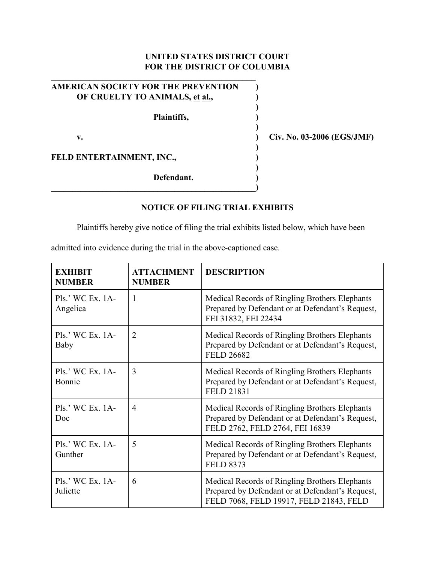## **UNITED STATES DISTRICT COURT FOR THE DISTRICT OF COLUMBIA**

| <b>AMERICAN SOCIETY FOR THE PREVENTION</b> |  |
|--------------------------------------------|--|
| OF CRUELTY TO ANIMALS, et al.,             |  |
| Plaintiffs,                                |  |
| v.                                         |  |
| FELD ENTERTAINMENT, INC.,                  |  |
| <b>DC</b> 1.                               |  |

**\_\_\_\_\_\_\_\_\_\_\_\_\_\_\_\_\_\_\_\_\_\_\_\_\_\_\_\_\_\_\_\_\_\_\_\_\_\_\_\_\_\_\_\_\_\_\_\_)**

**v. ) Civ. No. 03-2006 (EGS/JMF)**

**Defendant. )**

## **NOTICE OF FILING TRIAL EXHIBITS**

Plaintiffs hereby give notice of filing the trial exhibits listed below, which have been

admitted into evidence during the trial in the above-captioned case.

| <b>EXHIBIT</b><br><b>NUMBER</b> | <b>ATTACHMENT</b><br><b>NUMBER</b> | <b>DESCRIPTION</b>                                                                                                                            |
|---------------------------------|------------------------------------|-----------------------------------------------------------------------------------------------------------------------------------------------|
| $Pls.$ WC Ex. 1A-<br>Angelica   | $\overline{1}$                     | Medical Records of Ringling Brothers Elephants<br>Prepared by Defendant or at Defendant's Request,<br>FEI 31832, FEI 22434                    |
| $Pls.$ WC Ex. 1A-<br>Baby       | $\overline{2}$                     | Medical Records of Ringling Brothers Elephants<br>Prepared by Defendant or at Defendant's Request,<br><b>FELD 26682</b>                       |
| $Pls.$ WC Ex. 1A-<br>Bonnie     | 3                                  | Medical Records of Ringling Brothers Elephants<br>Prepared by Defendant or at Defendant's Request,<br><b>FELD 21831</b>                       |
| $Pls.$ WC Ex. 1A-<br>Doc        | $\overline{4}$                     | Medical Records of Ringling Brothers Elephants<br>Prepared by Defendant or at Defendant's Request,<br>FELD 2762, FELD 2764, FEI 16839         |
| $Pls.$ WC Ex. 1A-<br>Gunther    | 5                                  | Medical Records of Ringling Brothers Elephants<br>Prepared by Defendant or at Defendant's Request,<br><b>FELD 8373</b>                        |
| $Pls.$ WC Ex. 1A-<br>Juliette   | 6                                  | Medical Records of Ringling Brothers Elephants<br>Prepared by Defendant or at Defendant's Request,<br>FELD 7068, FELD 19917, FELD 21843, FELD |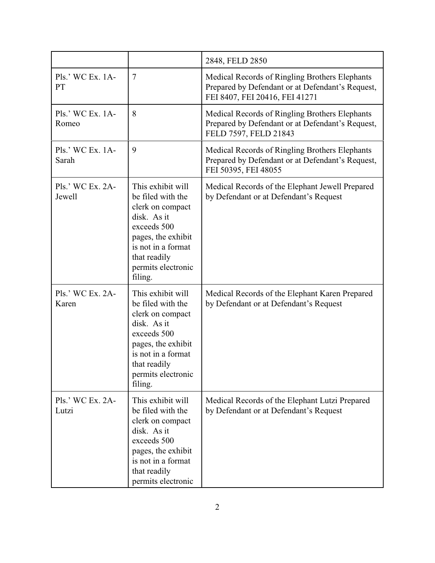|                            |                                                                                                                                                                                       | 2848, FELD 2850                                                                                                                      |
|----------------------------|---------------------------------------------------------------------------------------------------------------------------------------------------------------------------------------|--------------------------------------------------------------------------------------------------------------------------------------|
| Pls.' WC Ex. 1A-<br>PT     | $\overline{7}$                                                                                                                                                                        | Medical Records of Ringling Brothers Elephants<br>Prepared by Defendant or at Defendant's Request,<br>FEI 8407, FEI 20416, FEI 41271 |
| Pls.' WC Ex. 1A-<br>Romeo  | 8                                                                                                                                                                                     | Medical Records of Ringling Brothers Elephants<br>Prepared by Defendant or at Defendant's Request,<br>FELD 7597, FELD 21843          |
| Pls.' WC Ex. 1A-<br>Sarah  | 9                                                                                                                                                                                     | Medical Records of Ringling Brothers Elephants<br>Prepared by Defendant or at Defendant's Request,<br>FEI 50395, FEI 48055           |
| Pls.' WC Ex. 2A-<br>Jewell | This exhibit will<br>be filed with the<br>clerk on compact<br>disk. As it<br>exceeds 500<br>pages, the exhibit<br>is not in a format<br>that readily<br>permits electronic<br>filing. | Medical Records of the Elephant Jewell Prepared<br>by Defendant or at Defendant's Request                                            |
| Pls.' WC Ex. 2A-<br>Karen  | This exhibit will<br>be filed with the<br>clerk on compact<br>disk. As it<br>exceeds 500<br>pages, the exhibit<br>is not in a format<br>that readily<br>permits electronic<br>filing. | Medical Records of the Elephant Karen Prepared<br>by Defendant or at Defendant's Request                                             |
| Pls.' WC Ex. 2A-<br>Lutzi  | This exhibit will<br>be filed with the<br>clerk on compact<br>disk. As it<br>exceeds 500<br>pages, the exhibit<br>is not in a format<br>that readily<br>permits electronic            | Medical Records of the Elephant Lutzi Prepared<br>by Defendant or at Defendant's Request                                             |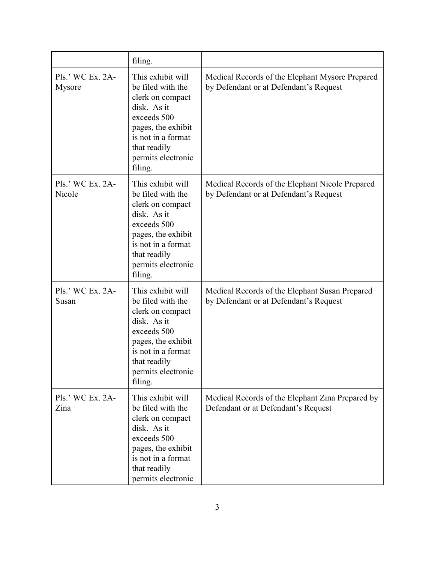|                            | filing.                                                                                                                                                                               |                                                                                           |
|----------------------------|---------------------------------------------------------------------------------------------------------------------------------------------------------------------------------------|-------------------------------------------------------------------------------------------|
| Pls.' WC Ex. 2A-<br>Mysore | This exhibit will<br>be filed with the<br>clerk on compact<br>disk. As it<br>exceeds 500<br>pages, the exhibit<br>is not in a format<br>that readily<br>permits electronic<br>filing. | Medical Records of the Elephant Mysore Prepared<br>by Defendant or at Defendant's Request |
| Pls.' WC Ex. 2A-<br>Nicole | This exhibit will<br>be filed with the<br>clerk on compact<br>disk. As it<br>exceeds 500<br>pages, the exhibit<br>is not in a format<br>that readily<br>permits electronic<br>filing. | Medical Records of the Elephant Nicole Prepared<br>by Defendant or at Defendant's Request |
| Pls.' WC Ex. 2A-<br>Susan  | This exhibit will<br>be filed with the<br>clerk on compact<br>disk. As it<br>exceeds 500<br>pages, the exhibit<br>is not in a format<br>that readily<br>permits electronic<br>filing. | Medical Records of the Elephant Susan Prepared<br>by Defendant or at Defendant's Request  |
| Pls.' WC Ex. 2A-<br>Zina   | This exhibit will<br>be filed with the<br>clerk on compact<br>disk. As it<br>exceeds 500<br>pages, the exhibit<br>is not in a format<br>that readily<br>permits electronic            | Medical Records of the Elephant Zina Prepared by<br>Defendant or at Defendant's Request   |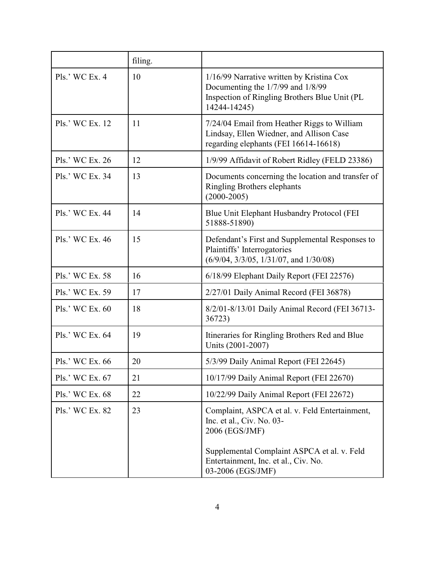|                  | filing. |                                                                                                                                                                                                           |
|------------------|---------|-----------------------------------------------------------------------------------------------------------------------------------------------------------------------------------------------------------|
| $PIs.'$ WC Ex. 4 | 10      | 1/16/99 Narrative written by Kristina Cox<br>Documenting the 1/7/99 and 1/8/99<br>Inspection of Ringling Brothers Blue Unit (PL<br>14244-14245)                                                           |
| Pls.' WC Ex. 12  | 11      | 7/24/04 Email from Heather Riggs to William<br>Lindsay, Ellen Wiedner, and Allison Case<br>regarding elephants (FEI 16614-16618)                                                                          |
| Pls.' WC Ex. 26  | 12      | 1/9/99 Affidavit of Robert Ridley (FELD 23386)                                                                                                                                                            |
| Pls.' WC Ex. 34  | 13      | Documents concerning the location and transfer of<br><b>Ringling Brothers elephants</b><br>$(2000 - 2005)$                                                                                                |
| Pls.' WC Ex. 44  | 14      | Blue Unit Elephant Husbandry Protocol (FEI<br>51888-51890)                                                                                                                                                |
| Pls.' WC Ex. 46  | 15      | Defendant's First and Supplemental Responses to<br>Plaintiffs' Interrogatories<br>$(6/9/04, 3/3/05, 1/31/07, and 1/30/08)$                                                                                |
| Pls.' WC Ex. 58  | 16      | 6/18/99 Elephant Daily Report (FEI 22576)                                                                                                                                                                 |
| Pls.' WC Ex. 59  | 17      | 2/27/01 Daily Animal Record (FEI 36878)                                                                                                                                                                   |
| Pls.' WC Ex. 60  | 18      | 8/2/01-8/13/01 Daily Animal Record (FEI 36713-<br>36723)                                                                                                                                                  |
| Pls.' WC Ex. 64  | 19      | Itineraries for Ringling Brothers Red and Blue<br>Units (2001-2007)                                                                                                                                       |
| Pls.' WC Ex. 66  | 20      | 5/3/99 Daily Animal Report (FEI 22645)                                                                                                                                                                    |
| Pls.' WC Ex. 67  | 21      | 10/17/99 Daily Animal Report (FEI 22670)                                                                                                                                                                  |
| Pls.' WC Ex. 68  | 22      | 10/22/99 Daily Animal Report (FEI 22672)                                                                                                                                                                  |
| Pls.' WC Ex. 82  | 23      | Complaint, ASPCA et al. v. Feld Entertainment,<br>Inc. et al., Civ. No. 03-<br>2006 (EGS/JMF)<br>Supplemental Complaint ASPCA et al. v. Feld<br>Entertainment, Inc. et al., Civ. No.<br>03-2006 (EGS/JMF) |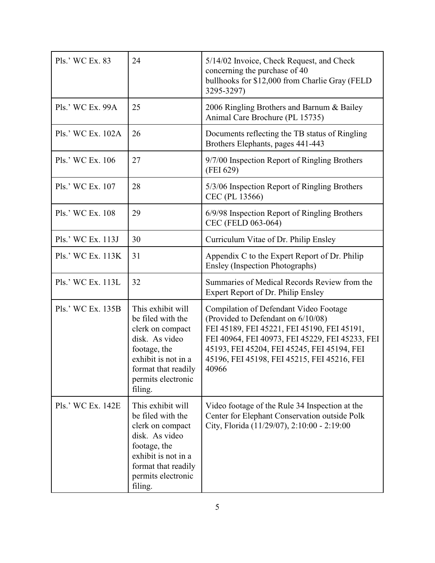| Pls.' WC Ex. 83   | 24                                                                                                                                                                          | 5/14/02 Invoice, Check Request, and Check<br>concerning the purchase of 40<br>bullhooks for \$12,000 from Charlie Gray (FELD<br>3295-3297)                                                                                                                                            |
|-------------------|-----------------------------------------------------------------------------------------------------------------------------------------------------------------------------|---------------------------------------------------------------------------------------------------------------------------------------------------------------------------------------------------------------------------------------------------------------------------------------|
| Pls.' WC Ex. 99A  | 25                                                                                                                                                                          | 2006 Ringling Brothers and Barnum & Bailey<br>Animal Care Brochure (PL 15735)                                                                                                                                                                                                         |
| Pls.' WC Ex. 102A | 26                                                                                                                                                                          | Documents reflecting the TB status of Ringling<br>Brothers Elephants, pages 441-443                                                                                                                                                                                                   |
| Pls.' WC Ex. 106  | 27                                                                                                                                                                          | 9/7/00 Inspection Report of Ringling Brothers<br>(FEI 629)                                                                                                                                                                                                                            |
| Pls.' WC Ex. 107  | 28                                                                                                                                                                          | 5/3/06 Inspection Report of Ringling Brothers<br>CEC (PL 13566)                                                                                                                                                                                                                       |
| Pls.' WC Ex. 108  | 29                                                                                                                                                                          | 6/9/98 Inspection Report of Ringling Brothers<br>CEC (FELD 063-064)                                                                                                                                                                                                                   |
| Pls.' WC Ex. 113J | 30                                                                                                                                                                          | Curriculum Vitae of Dr. Philip Ensley                                                                                                                                                                                                                                                 |
| Pls.' WC Ex. 113K | 31                                                                                                                                                                          | Appendix C to the Expert Report of Dr. Philip<br>Ensley (Inspection Photographs)                                                                                                                                                                                                      |
| Pls.' WC Ex. 113L | 32                                                                                                                                                                          | Summaries of Medical Records Review from the<br>Expert Report of Dr. Philip Ensley                                                                                                                                                                                                    |
| Pls.' WC Ex. 135B | This exhibit will<br>be filed with the<br>clerk on compact<br>disk. As video<br>footage, the<br>exhibit is not in a<br>format that readily<br>permits electronic<br>filing. | Compilation of Defendant Video Footage<br>(Provided to Defendant on 6/10/08)<br>FEI 45189, FEI 45221, FEI 45190, FEI 45191,<br>FEI 40964, FEI 40973, FEI 45229, FEI 45233, FEI<br>45193, FEI 45204, FEI 45245, FEI 45194, FEI<br>45196, FEI 45198, FEI 45215, FEI 45216, FEI<br>40966 |
| Pls.' WC Ex. 142E | This exhibit will<br>be filed with the<br>clerk on compact<br>disk. As video<br>footage, the<br>exhibit is not in a<br>format that readily<br>permits electronic<br>filing. | Video footage of the Rule 34 Inspection at the<br>Center for Elephant Conservation outside Polk<br>City, Florida (11/29/07), 2:10:00 - 2:19:00                                                                                                                                        |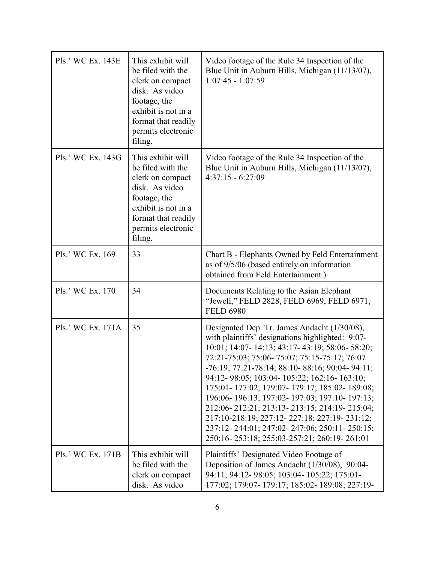| Pls.' WC Ex. 143E | This exhibit will<br>be filed with the<br>clerk on compact<br>disk. As video<br>footage, the<br>exhibit is not in a<br>format that readily<br>permits electronic<br>filing. | Video footage of the Rule 34 Inspection of the<br>Blue Unit in Auburn Hills, Michigan (11/13/07),<br>$1:07:45 - 1:07:59$                                                                                                                                                                                                                                                                                                                                                                                                                                                                                        |
|-------------------|-----------------------------------------------------------------------------------------------------------------------------------------------------------------------------|-----------------------------------------------------------------------------------------------------------------------------------------------------------------------------------------------------------------------------------------------------------------------------------------------------------------------------------------------------------------------------------------------------------------------------------------------------------------------------------------------------------------------------------------------------------------------------------------------------------------|
| Pls.' WC Ex. 143G | This exhibit will<br>be filed with the<br>clerk on compact<br>disk. As video<br>footage, the<br>exhibit is not in a<br>format that readily<br>permits electronic<br>filing. | Video footage of the Rule 34 Inspection of the<br>Blue Unit in Auburn Hills, Michigan (11/13/07),<br>$4:37:15 - 6:27:09$                                                                                                                                                                                                                                                                                                                                                                                                                                                                                        |
| Pls.' WC Ex. 169  | 33                                                                                                                                                                          | Chart B - Elephants Owned by Feld Entertainment<br>as of 9/5/06 (based entirely on information<br>obtained from Feld Entertainment.)                                                                                                                                                                                                                                                                                                                                                                                                                                                                            |
| Pls.' WC Ex. 170  | 34                                                                                                                                                                          | Documents Relating to the Asian Elephant<br>"Jewell," FELD 2828, FELD 6969, FELD 6971,<br><b>FELD 6980</b>                                                                                                                                                                                                                                                                                                                                                                                                                                                                                                      |
| Pls.' WC Ex. 171A | 35                                                                                                                                                                          | Designated Dep. Tr. James Andacht (1/30/08),<br>with plaintiffs' designations highlighted: 9:07-<br>10:01; 14:07- 14:13; 43:17- 43:19; 58:06- 58:20;<br>72:21-75:03; 75:06-75:07; 75:15-75:17; 76:07<br>$-76:19$ ; $77:21-78:14$ ; $88:10-88:16$ ; $90:04-94:11$ ;<br>94:12-98:05; 103:04-105:22; 162:16-163:10;<br>175:01-177:02; 179:07-179:17; 185:02-189:08;<br>196:06-196:13; 197:02-197:03; 197:10-197:13;<br>212:06-212:21; 213:13-213:15; 214:19-215:04;<br>217:10-218:19; 227:12-227:18; 227:19-231:12;<br>237:12-244:01; 247:02-247:06; 250:11-250:15;<br>250:16-253:18; 255:03-257:21; 260:19-261:01 |
| Pls.' WC Ex. 171B | This exhibit will<br>be filed with the<br>clerk on compact<br>disk. As video                                                                                                | Plaintiffs' Designated Video Footage of<br>Deposition of James Andacht (1/30/08), 90:04-<br>94:11; 94:12- 98:05; 103:04- 105:22; 175:01-<br>177:02; 179:07- 179:17; 185:02- 189:08; 227:19-                                                                                                                                                                                                                                                                                                                                                                                                                     |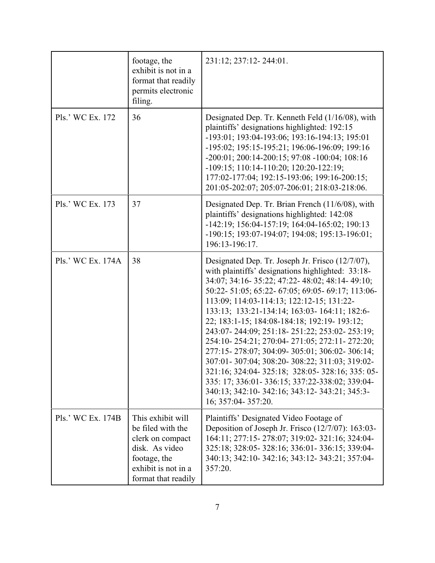|                   | footage, the<br>exhibit is not in a<br>format that readily<br>permits electronic<br>filing.                                                | 231:12; 237:12-244:01.                                                                                                                                                                                                                                                                                                                                                                                                                                                                                                                                                                                                                                                                                                                        |
|-------------------|--------------------------------------------------------------------------------------------------------------------------------------------|-----------------------------------------------------------------------------------------------------------------------------------------------------------------------------------------------------------------------------------------------------------------------------------------------------------------------------------------------------------------------------------------------------------------------------------------------------------------------------------------------------------------------------------------------------------------------------------------------------------------------------------------------------------------------------------------------------------------------------------------------|
| Pls.' WC Ex. 172  | 36                                                                                                                                         | Designated Dep. Tr. Kenneth Feld (1/16/08), with<br>plaintiffs' designations highlighted: 192:15<br>-193:01; 193:04-193:06; 193:16-194:13; 195:01<br>-195:02; 195:15-195:21; 196:06-196:09; 199:16<br>$-200:01; 200:14-200:15; 97:08 -100:04; 108:16$<br>-109:15; 110:14-110:20; 120:20-122:19;<br>177:02-177:04; 192:15-193:06; 199:16-200:15;<br>201:05-202:07; 205:07-206:01; 218:03-218:06.                                                                                                                                                                                                                                                                                                                                               |
| Pls.' WC Ex. 173  | 37                                                                                                                                         | Designated Dep. Tr. Brian French (11/6/08), with<br>plaintiffs' designations highlighted: 142:08<br>-142:19; 156:04-157:19; 164:04-165:02; 190:13<br>-190:15; 193:07-194:07; 194:08; 195:13-196:01;<br>196:13-196:17.                                                                                                                                                                                                                                                                                                                                                                                                                                                                                                                         |
| Pls.' WC Ex. 174A | 38                                                                                                                                         | Designated Dep. Tr. Joseph Jr. Frisco (12/7/07),<br>with plaintiffs' designations highlighted: 33:18-<br>34:07; 34:16- 35:22; 47:22- 48:02; 48:14- 49:10;<br>50:22- 51:05; 65:22- 67:05; 69:05- 69:17; 113:06-<br>113:09; 114:03-114:13; 122:12-15; 131:22-<br>133:13; 133:21-134:14; 163:03- 164:11; 182:6-<br>22; 183:1-15; 184:08-184:18; 192:19- 193:12;<br>243:07-244:09; 251:18-251:22; 253:02-253:19;<br>254:10-254:21; 270:04-271:05; 272:11-272:20;<br>277:15-278:07; 304:09-305:01; 306:02-306:14;<br>307:01-307:04; 308:20-308:22; 311:03; 319:02-<br>321:16; 324:04- 325:18; 328:05- 328:16; 335: 05-<br>335: 17; 336:01- 336:15; 337:22-338:02; 339:04-<br>340:13; 342:10- 342:16; 343:12- 343:21; 345:3-<br>16; 357:04- 357:20. |
| Pls.' WC Ex. 174B | This exhibit will<br>be filed with the<br>clerk on compact<br>disk. As video<br>footage, the<br>exhibit is not in a<br>format that readily | Plaintiffs' Designated Video Footage of<br>Deposition of Joseph Jr. Frisco $(12/7/07)$ : 163:03-<br>164:11; 277:15-278:07; 319:02-321:16; 324:04-<br>325:18; 328:05- 328:16; 336:01- 336:15; 339:04-<br>340:13; 342:10- 342:16; 343:12- 343:21; 357:04-<br>357:20.                                                                                                                                                                                                                                                                                                                                                                                                                                                                            |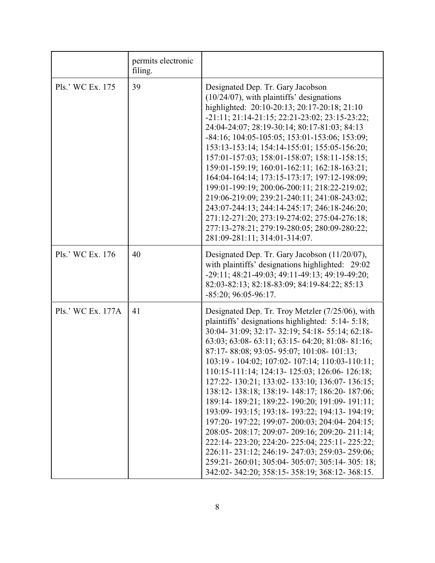|                   | permits electronic<br>filing. |                                                                                                                                                                                                                                                                                                                                                                                                                                                                                                                                                                                                                                                                                                                                                                                                                                                                |
|-------------------|-------------------------------|----------------------------------------------------------------------------------------------------------------------------------------------------------------------------------------------------------------------------------------------------------------------------------------------------------------------------------------------------------------------------------------------------------------------------------------------------------------------------------------------------------------------------------------------------------------------------------------------------------------------------------------------------------------------------------------------------------------------------------------------------------------------------------------------------------------------------------------------------------------|
| Pls.' WC Ex. 175  | 39                            | Designated Dep. Tr. Gary Jacobson<br>$(10/24/07)$ , with plaintiffs' designations<br>highlighted: 20:10-20:13; 20:17-20:18; 21:10<br>-21:11; 21:14-21:15; 22:21-23:02; 23:15-23:22;<br>24:04-24:07; 28:19-30:14; 80:17-81:03; 84:13<br>-84:16; 104:05-105:05; 153:01-153:06; 153:09;<br>153:13-153:14; 154:14-155:01; 155:05-156:20;<br>157:01-157:03; 158:01-158:07; 158:11-158:15;<br>159:01-159:19; 160:01-162:11; 162:18-163:21;<br>164:04-164:14; 173:15-173:17; 197:12-198:09;<br>199:01-199:19; 200:06-200:11; 218:22-219:02;<br>219:06-219:09; 239:21-240:11; 241:08-243:02;<br>243:07-244:13; 244:14-245:17; 246:18-246:20;<br>271:12-271:20; 273:19-274:02; 275:04-276:18;<br>277:13-278:21; 279:19-280:05; 280:09-280:22;<br>281:09-281:11; 314:01-314:07.                                                                                          |
| Pls.' WC Ex. 176  | 40                            | Designated Dep. Tr. Gary Jacobson (11/20/07),<br>with plaintiffs' designations highlighted: 29:02<br>-29:11; 48:21-49:03; 49:11-49:13; 49:19-49:20;<br>82:03-82:13; 82:18-83:09; 84:19-84:22; 85:13<br>$-85:20; 96:05-96:17.$                                                                                                                                                                                                                                                                                                                                                                                                                                                                                                                                                                                                                                  |
| Pls.' WC Ex. 177A | 41                            | Designated Dep. Tr. Troy Metzler (7/25/06), with<br>plaintiffs' designations highlighted: 5:14-5:18;<br>30:04-31:09; 32:17-32:19; 54:18-55:14; 62:18-<br>63:03; 63:08- 63:11; 63:15- 64:20; 81:08- 81:16;<br>87:17-88:08; 93:05-95:07; 101:08-101:13;<br>103:19 - 104:02; 107:02 - 107:14; 110:03 - 110:11;<br>110:15-111:14; 124:13- 125:03; 126:06- 126:18;<br>127:22-130:21; 133:02-133:10; 136:07-136:15;<br>138:12-138:18; 138:19-148:17; 186:20-187:06;<br>189:14-189:21; 189:22-190:20; 191:09-191:11;<br>193:09-193:15; 193:18-193:22; 194:13-194:19;<br>197:20-197:22; 199:07-200:03; 204:04-204:15;<br>208:05-208:17; 209:07-209:16; 209:20-211:14;<br>222:14-223:20; 224:20-225:04; 225:11-225:22;<br>226:11-231:12; 246:19-247:03; 259:03-259:06;<br>259:21-260:01; 305:04-305:07; 305:14-305: 18;<br>342:02-342:20; 358:15-358:19; 368:12-368:15. |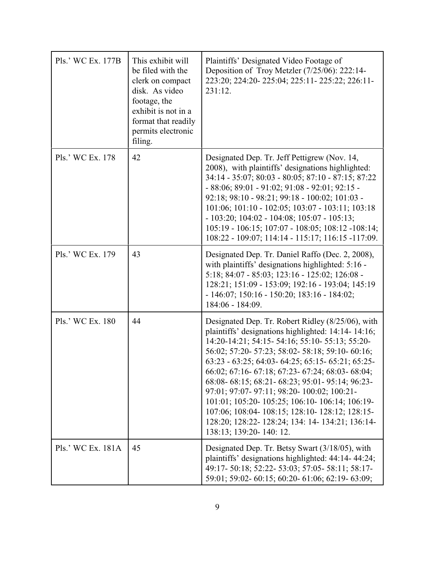| Pls.' WC Ex. 177B | This exhibit will<br>be filed with the<br>clerk on compact<br>disk. As video<br>footage, the<br>exhibit is not in a<br>format that readily<br>permits electronic<br>filing. | Plaintiffs' Designated Video Footage of<br>Deposition of Troy Metzler (7/25/06): 222:14-<br>223:20; 224:20-225:04; 225:11-225:22; 226:11-<br>231:12.                                                                                                                                                                                                                                                                                                                                                                                                                                                            |
|-------------------|-----------------------------------------------------------------------------------------------------------------------------------------------------------------------------|-----------------------------------------------------------------------------------------------------------------------------------------------------------------------------------------------------------------------------------------------------------------------------------------------------------------------------------------------------------------------------------------------------------------------------------------------------------------------------------------------------------------------------------------------------------------------------------------------------------------|
| Pls.' WC Ex. 178  | 42                                                                                                                                                                          | Designated Dep. Tr. Jeff Pettigrew (Nov. 14,<br>2008), with plaintiffs' designations highlighted:<br>34:14 - 35:07; 80:03 - 80:05; 87:10 - 87:15; 87:22<br>$-88:06$ ; $89:01 - 91:02$ ; $91:08 - 92:01$ ; $92:15 -$<br>92:18; 98:10 - 98:21; 99:18 - 100:02; 101:03 -<br>101:06; 101:10 - 102:05; 103:07 - 103:11; 103:18<br>$-103:20; 104:02 - 104:08; 105:07 - 105:13;$<br>105:19 - 106:15; 107:07 - 108:05; 108:12 -108:14;<br>108:22 - 109:07; 114:14 - 115:17; 116:15 -117:09.                                                                                                                             |
| Pls.' WC Ex. 179  | 43                                                                                                                                                                          | Designated Dep. Tr. Daniel Raffo (Dec. 2, 2008),<br>with plaintiffs' designations highlighted: 5:16 -<br>5:18; 84:07 - 85:03; 123:16 - 125:02; 126:08 -<br>128:21; 151:09 - 153:09; 192:16 - 193:04; 145:19<br>$-146:07$ ; 150:16 $-150:20$ ; 183:16 $-184:02$ ;<br>184:06 - 184:09.                                                                                                                                                                                                                                                                                                                            |
| Pls.' WC Ex. 180  | 44                                                                                                                                                                          | Designated Dep. Tr. Robert Ridley (8/25/06), with<br>plaintiffs' designations highlighted: 14:14-14:16;<br>14:20-14:21; 54:15- 54:16; 55:10- 55:13; 55:20-<br>56:02; 57:20- 57:23; 58:02- 58:18; 59:10- 60:16;<br>63:23 - 63:25; 64:03 - 64:25; 65:15 - 65:21; 65:25 -<br>66:02; 67:16- 67:18; 67:23- 67:24; 68:03- 68:04;<br>68:08-68:15; 68:21-68:23; 95:01-95:14; 96:23-<br>97:01; 97:07- 97:11; 98:20- 100:02; 100:21-<br>101:01; 105:20- 105:25; 106:10- 106:14; 106:19-<br>107:06; 108:04- 108:15; 128:10- 128:12; 128:15-<br>128:20; 128:22- 128:24; 134: 14- 134:21; 136:14-<br>138:13; 139:20-140: 12. |
| Pls.' WC Ex. 181A | 45                                                                                                                                                                          | Designated Dep. Tr. Betsy Swart (3/18/05), with<br>plaintiffs' designations highlighted: 44:14-44:24;<br>49:17-50:18; 52:22-53:03; 57:05-58:11; 58:17-<br>59:01; 59:02- 60:15; 60:20- 61:06; 62:19- 63:09;                                                                                                                                                                                                                                                                                                                                                                                                      |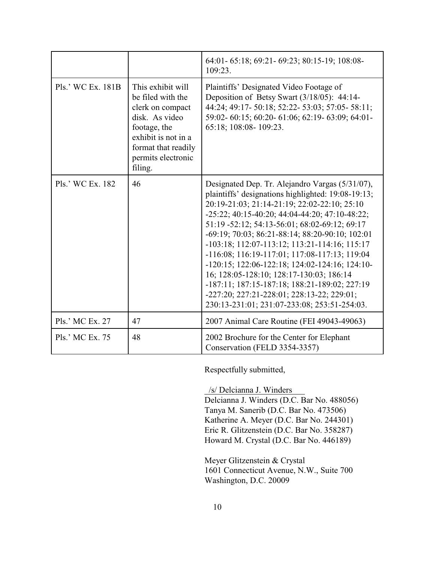|                   |                                                                                                                                                                             | 64:01-65:18; 69:21-69:23; 80:15-19; 108:08-<br>109:23.                                                                                                                                                                                                                                                                                                                                                                                                                                                                                                                                                                                                           |
|-------------------|-----------------------------------------------------------------------------------------------------------------------------------------------------------------------------|------------------------------------------------------------------------------------------------------------------------------------------------------------------------------------------------------------------------------------------------------------------------------------------------------------------------------------------------------------------------------------------------------------------------------------------------------------------------------------------------------------------------------------------------------------------------------------------------------------------------------------------------------------------|
| Pls.' WC Ex. 181B | This exhibit will<br>be filed with the<br>clerk on compact<br>disk. As video<br>footage, the<br>exhibit is not in a<br>format that readily<br>permits electronic<br>filing. | Plaintiffs' Designated Video Footage of<br>Deposition of Betsy Swart (3/18/05): 44:14-<br>44:24; 49:17- 50:18; 52:22- 53:03; 57:05- 58:11;<br>59:02-60:15; 60:20-61:06; 62:19-63:09; 64:01-<br>65:18; 108:08-109:23.                                                                                                                                                                                                                                                                                                                                                                                                                                             |
| Pls.' WC Ex. 182  | 46                                                                                                                                                                          | Designated Dep. Tr. Alejandro Vargas (5/31/07),<br>plaintiffs' designations highlighted: 19:08-19:13;<br>20:19-21:03; 21:14-21:19; 22:02-22:10; 25:10<br>$-25:22$ ; 40:15-40:20; 44:04-44:20; 47:10-48:22;<br>51:19 -52:12; 54:13-56:01; 68:02-69:12; 69:17<br>-69:19; 70:03; 86:21-88:14; 88:20-90:10; 102:01<br>-103:18; 112:07-113:12; 113:21-114:16; 115:17<br>-116:08; 116:19-117:01; 117:08-117:13; 119:04<br>$-120:15$ ; 122:06-122:18; 124:02-124:16; 124:10-<br>16; 128:05-128:10; 128:17-130:03; 186:14<br>-187:11; 187:15-187:18; 188:21-189:02; 227:19<br>-227:20; 227:21-228:01; 228:13-22; 229:01;<br>230:13-231:01; 231:07-233:08; 253:51-254:03. |
| Pls.' MC Ex. 27   | 47                                                                                                                                                                          | 2007 Animal Care Routine (FEI 49043-49063)                                                                                                                                                                                                                                                                                                                                                                                                                                                                                                                                                                                                                       |
| Pls.' MC Ex. 75   | 48                                                                                                                                                                          | 2002 Brochure for the Center for Elephant<br>Conservation (FELD 3354-3357)                                                                                                                                                                                                                                                                                                                                                                                                                                                                                                                                                                                       |

Respectfully submitted,

 /s/ Delcianna J. Winders Delcianna J. Winders (D.C. Bar No. 488056) Tanya M. Sanerib (D.C. Bar No. 473506) Katherine A. Meyer (D.C. Bar No. 244301) Eric R. Glitzenstein (D.C. Bar No. 358287) Howard M. Crystal (D.C. Bar No. 446189)

Meyer Glitzenstein & Crystal 1601 Connecticut Avenue, N.W., Suite 700 Washington, D.C. 20009